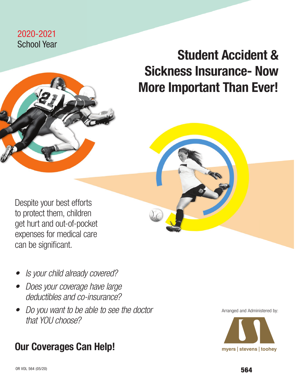## 2020-2021 School Year

# Student Accident & Sickness Insurance- Now More Important Than Ever!

Despite your best efforts to protect them, children get hurt and out-of-pocket expenses for medical care can be significant.

- *• Is your child already covered?*
- *• Does your coverage have large deductibles and co-insurance?*
- *• Do you want to be able to see the doctor that YOU choose?*

## Our Coverages Can Help!

Arranged and Administered by:

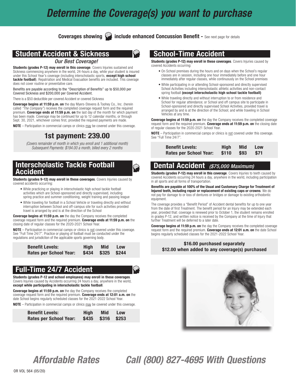## *Determine the Coverage(s) you want to purchase*

Coverages showing **include enhanced Concussion Benefit -** See next page for details

١

## Student Accident & Sickness

#### *Our Best Coverage!*

Students (grades P-12) may enroll in this coverage. Covers Injuries sustained and Sickness commencing anywhere in the world, 24-hours a day, while your student is insured under this School Year's coverage (including interscholastic sports, except high school tackle football). Repatriation and Medical Evacuation benefits are included. This coverage does not cover routine or preventative care.

Benefits are payable according to the "Description of Benefits" up to \$50,000 per Covered Sickness and \$200,000 per Covered Accident.

There is a \$50 deductible per covered Accident or covered Sickness

Coverage begins at 11:59 p.m. on the day Myers-Stevens & Toohey Co., Inc. (herein called *"The Company"*) receives the completed coverage request form and the required premium. Coverage ends at 11:59 p.m. on the last day of the month for which payment has been made. Coverage may be continued for up to 12 calendar months, or through Sept. 30, 2021, whichever comes first, provided the required payments are made.

NOTE – Participation in commercial camps or clinics may be covered under this coverage.

## 1st payment: 239.00

*(Covers remainder of month in which you enroll and 1 additional month) Subsequent Payments: \$194.00 a month, billed every 2 months*

## Interscholastic Tackle Football Accident

Students (grades 9-12) may enroll in these coverages. Covers Injuries caused by covered accidents occurring:

- While practicing or playing in interscholastic high school tackle football activities which are School-sponsored and directly supervised, including spring practice and summer conditioning, weight training and passing league
- While traveling for football in a School Vehicle or traveling directly and without interruption between School and off-campus site for such activities provided travel is arranged by and is at the direction of the School

Coverage begins at 11:59 p.m. on the day the Company receives the completed coverage request form and the required premium. Coverage ends at 11:59 p.m. on the closing date of regular classes for the 2020-2021 School Year.

**NOTE** – Participation in commercial camps or clinics is not covered under this coverage. See "Full Time 24/7". Practice or playing of football must be conducted under the regulations and jurisdiction of the applicable sports governing body.

| <b>Benefit Levels:</b>        | Hiah | <b>Mid</b>        | <b>Low</b> |  |
|-------------------------------|------|-------------------|------------|--|
| <b>Rates per School Year:</b> |      | \$434 \$325 \$244 |            |  |

## Full-Time 24/7 Accident

Students (grades P-12 and school employees) may enroll in these coverages. Covers Injuries caused by Accidents occurring 24 hours a day, anywhere in the world, except while participating in interscholastic tackle football.

Coverage begins at 11:59 p.m. on the day the Company receives the completed coverage request form and the required premium. Coverage ends at 12:01 a.m. on the date School begins regularly scheduled classes for the 2021-2022 School Year.

NOTE – Participation in commercial camps or clinics may be covered under this coverage.

| <b>Benefit Levels:</b> | Hiah | Mid.              | <b>Low</b> |  |
|------------------------|------|-------------------|------------|--|
| Rates per School Year: |      | \$435 \$316 \$253 |            |  |

## School-Time Accident

Students (grades P-12) may enroll in these coverages. Covers Injuries caused by covered Accidents occurring:

- On School premises during the hours and on days when the School's regular classes are in session, including one hour immediately before and one hour immediately after regular classes, while continuously on the School premises
- While participating in or attending School-sponsored and directly supervised School Activities including interscholastic athletic activities and non-contact spring football (except interscholastic high school tackle football)
- While traveling directly and without interruption to or from residence and School for regular attendance; or School and off campus site to participate in School-sponsored and directly supervised School Activities, provided travel is arranged by and is at the direction of the School; and while traveling in School Vehicles at any time.

**Coverage begins at 11:59 p.m. on** the day the Company receives the completed coverage request form and the required premium. Coverage ends at 11:59 p.m. on the closing date of regular classes for the 2020-2021 School Year.

NOTE – Participation in commercial camps or clinics is not covered under this coverage. See "Full Time 24/7".

| <b>Benefit Levels:</b>        | Hiah       | Mid | <b>Low</b> |  |
|-------------------------------|------------|-----|------------|--|
| <b>Rates per School Year:</b> | \$110 \$93 |     | <b>S71</b> |  |

## Dental Accident *(\$75,000 Maximum)*

Students (grades P-12) may enroll in this coverage. Covers Injuries to teeth caused by covered Accidents occurring 24 hours a day, anywhere in the world, including participation in all sports and all forms of transportation.

Benefits are payable at 100% of the Usual and Customary Charge for Treatment of Injured teeth, including repair or replacement of existing caps or crowns. We do not pay for damage to or loss of dentures or bridges or damage to existing orthodontic equipment.

The coverage provides a "Benefit Period" of Accident dental benefits for up to one year from the date of first Treatment. The benefit period for an Injury may be extended each year, provided that: coverage is renewed prior to October 1, the student remains enrolled in grades P-12, and written notice is received by the Company at the time of Injury that further Treatment will be deferred to a later date.

**Coverage begins at 11:59 p.m. on** the day the Company receives the completed coverage request form and the required premium. Coverage ends at 12:01 a.m. on the date School begins regularly scheduled classes for the 2021-2022 School Year.

#### \$16.00 purchased separately \$12.00 when added to any coverage(s) purchased



*Affordable Rates Call (800) 827-4695 With Questions*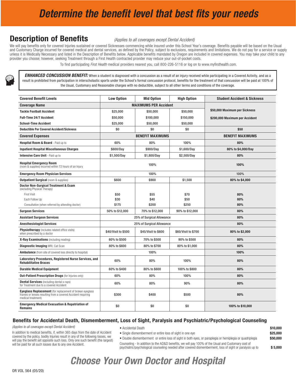## *Determine the benefit level that best fits your needs*

## **Description of Benefits** *<i>(Applies to all coverages except Dental Accident)*

We will pay benefits only for covered Injuries sustained or covered Sicknesses commencing while insured under this School Year's coverage. Benefits payable will be based on the Usual and Customary Charge incurred for covered medical and dental services, as defined by the Policy, subject to exclusions, requirements and limitations. We do not pay for a service or supply unless it is Medically Necessary and listed in the Description of Benefits below. Applicable benefits mandated by Oregon are included in covered expenses. You may take your child to any provider you choose; however, seeking Treatment through a First Health contracted provider may reduce your out-of-pocket costs.

To find participating *First Health* medical providers nearest you, call 800-226-5116 or log on to www.myfirsthealth.com.

*ENHANCED CONCUSSION BENEFIT:* When a student is diagnosed with a concussion as a result of an injury received while participating in a Covered Activity, and as a result is prohibited from participation in interscholastic sports under the School's formal concussion protocol, benefits for the treatment of that concussion will be paid at 100% of the Usual, Customary and Reasonable charges with no deductible, subject to all other terms and conditions of the coverage.

| <b>Covered Benefit Levels</b>                                                                                                                  | <b>Low Option</b>   | <b>Mid Option</b>            | <b>High Option</b>  | <b>Student Accident &amp; Sickness</b> |
|------------------------------------------------------------------------------------------------------------------------------------------------|---------------------|------------------------------|---------------------|----------------------------------------|
| <b>Coverage Name</b>                                                                                                                           |                     | <b>MAXIMUMS PER Accident</b> |                     |                                        |
| <b>Tackle Football Accident</b>                                                                                                                | \$25,000            | \$50,000                     | \$50,000            | \$50,000 Maximum per Sickness          |
| <b>Full-Time 24/7 Accident</b>                                                                                                                 | \$50,000            | \$100,000                    | \$150,000           | \$200,000 Maximum per Accident         |
| <b>School-Time Accident</b>                                                                                                                    | \$25,000            | \$50,000                     | \$50,000            |                                        |
| <b>Deductible Per Covered Accident/Sickness</b>                                                                                                | \$0                 | \$0                          | \$0                 | \$50                                   |
| <b>Covered Expenses</b>                                                                                                                        |                     | <b>BENEFIT MAXIMUMS</b>      |                     | <b>BENEFIT MAXIMUMS</b>                |
| Hospital Room & Board - Paid up to                                                                                                             | 60%                 | 80%                          | 100%                | 80%                                    |
| <b>Inpatient Hospital Miscellaneous Charges</b>                                                                                                | \$600/Day           | \$900/Day                    | \$1,600/Day         | 80% to \$4,000/Day                     |
| <b>Intensive Care Unit</b> - Paid up to                                                                                                        | \$1,500/Day         | \$1,800/Day                  | \$2,500/Day         | 80%                                    |
| <b>Hospital Emergency Room</b><br>(room & supplies) incurred within 72 hours of an Injury                                                      |                     | 100%                         |                     | 100%                                   |
| <b>Emergency Room Physician Services</b>                                                                                                       |                     | 100%                         |                     | 100%                                   |
| <b>Outpatient Surgical</b> (room & supplies)                                                                                                   | \$600               | \$900                        | \$1,500             | 80% to \$4,000                         |
| Doctor Non-Surgical Treatment & Exam<br>(excluding Physical Therapy)                                                                           |                     |                              |                     |                                        |
| <b>First Visit</b>                                                                                                                             | \$50                | \$55                         | \$70                | 80%                                    |
| Each Follow Up                                                                                                                                 | \$30                | \$40                         | \$50                | 80%                                    |
| Consultation (when referred by attending doctor)                                                                                               | \$175               | \$200                        | \$250               | 80%                                    |
| <b>Surgeon Services</b>                                                                                                                        | 50% to \$12,000     | 70% to \$12,000              | 90% to \$12,000     | 80%                                    |
| <b>Assistant Surgeon Services</b>                                                                                                              |                     | 25% of Surgical Allowance    |                     | 80%                                    |
| <b>Anesthesiologist Services</b>                                                                                                               |                     | 25% of Surgical Allowance    |                     | 80%                                    |
| <b>Physiotherapy</b> (includes related office visits)<br>when prescribed by a doctor                                                           | \$40/Visit to \$500 | \$45/Visit to \$600          | \$60/Visit to \$700 | 80% to \$2,000                         |
| X-Ray Examinations (including reading)                                                                                                         | 60% to \$500        | 70% to \$500                 | 90% to \$500        | 80%                                    |
| <b>Diagnostic Imaging MRI, Cat Scan</b>                                                                                                        | 80% to \$600        | 80% to \$700                 | 80% to \$1,000      | 80%                                    |
| <b>Ambulance</b> (from site of covered loss directly to hospital)                                                                              |                     | 100%                         |                     | 100%                                   |
| Laboratory Procedures, Registered Nurse Services, and<br><b>Rehabilitative Braces</b>                                                          | 60%                 | 80%                          | 100%                | 80%                                    |
| <b>Durable Medical Equipment</b>                                                                                                               | 60% to \$400        | 80% to \$600                 | 100% to \$800       | 80%                                    |
| <b>Out-Patient Prescription Drugs</b> (for Injuries only)                                                                                      | 60%                 | 80%                          | 100%                | 80%                                    |
| <b>Dental Services</b> (including dental x-rays)<br>for Treatment due to a covered Accident                                                    | 60%                 | 80%                          | 90%                 | 80%                                    |
| Eyeglass Replacement (for replacement of broken eyeglass<br>frames or lenses resulting from a covered Accident requiring<br>medical treatment) | \$300               | \$400                        | \$500               | 80%                                    |
| <b>Emergency Medical Evacuation &amp; Repatriation of</b><br>Remains                                                                           | \$0                 | \$0                          | \$0                 | 100% to \$10,000                       |

#### Benefits for Accidental Death, Dismemberment, Loss of Sight, Paralysis and Psychiatric/Psychological Counseling

*(Applies to all coverages except Dental Accident)*

- Accidental Death **\$10.000**
- Single dismemberment or entire loss of sight in one eye **625,000 \$25,000** • Double dismemberment or entire loss of sight in both eyes, or paraplegia or hemiplegia or quadriplegia  $$50,000$

In addition to medical benefits, if, within 365 days from the date of Accident covered by the policy, bodily Injuries result in any of the following losses, we will pay the benefit set opposite such loss. Only one such benefit (the largest) will be paid for all such losses due to any one Accident.

Counseling - In addition to the AD&D benefits, we will pay 100% of the Usual and Customary cost of psychiatric/psychological counseling needed after covered dismemberment, loss of sight or paralysis up to \$ 5,000

## *Choose Your Own Doctor and Hospital*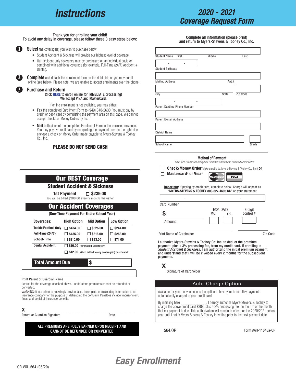## *Instructions*

## *2020 - 2021 Coverage Request Form*

#### Thank you for enrolling your child! To avoid any delay in coverage, please follow these 3 easy steps below:

**1 1**

**2**

**3**

**Select** the coverage(s) you wish to purchase below:

- Student Accident & Sickness will provide our highest level of coverage.
- Our accident-only coverages may be purchased on an individual basis or combined with additional coverage (for example, Full-Time (24/7) Accident + Dental).

**Complete** and detach the enrollment form on the right side or you may enroll online (see below). Please note, we are unable to accept enrollments over the phone.

#### Purchas[e and Return](https://www.myers-stevens.com/enrollment-page/)

#### Click HERE to enroll online for IMMEDIATE processing! We accept VISA and MasterCard.

If online enrollment is not available, you may either:

- Fax the completed Enrollment Form to (949) 348-2630. You must pay by credit or debit card by completing the payment area on this page. We cannot accept Checks or Money Orders by fax.
- Mail both sides of the completed Enrollment Form in the enclosed envelope. You may pay by credit card by completing the payment area on the right side enclose a check or Money Order made payable to Myers-Stevens & Toohey Co., Inc.

#### PLEASE DO NOT SEND CASH

|                                                                                                                                                                                                                                      |                                           | <b>Student Accident &amp; Sickness</b>                                       |                                                                                              |
|--------------------------------------------------------------------------------------------------------------------------------------------------------------------------------------------------------------------------------------|-------------------------------------------|------------------------------------------------------------------------------|----------------------------------------------------------------------------------------------|
|                                                                                                                                                                                                                                      | 1st Payment                               | $\square$ \$239.00<br>You will be billed \$388.00 every 2 months thereafter. |                                                                                              |
|                                                                                                                                                                                                                                      |                                           | <b>Our Accident Coverages</b>                                                |                                                                                              |
|                                                                                                                                                                                                                                      |                                           | (One-Time Payment For Entire School Year)                                    |                                                                                              |
| <b>Coverages:</b>                                                                                                                                                                                                                    | <b>High Option</b>                        | <b>Mid Option</b>                                                            | <b>Low Option</b>                                                                            |
| <b>Tackle Football Only</b><br><b>Full-Time (24/7)</b><br>School-Time<br><b>Dental Accident</b>                                                                                                                                      | \$434.00<br>\$435.00<br>$\sqcap$ \$110.00 | $\Box$ \$325.00<br>5316.00<br>1 \$93.00<br>\$16.00 Purchased Separately      | \$244.00<br>\$253.00<br>$\sqcap$ \$71.00                                                     |
| <b>Total Amount Due</b>                                                                                                                                                                                                              |                                           | \$12.00 When added to any coverage(s) purchased<br>\$                        |                                                                                              |
| Print Parent or Guardian Name<br>I enroll for the coverage checked above. I understand premiums cannot be refunded or<br>converted.<br>WARNING: It is a crime to knowingly provide false, incomplete or misleading information to an |                                           |                                                                              | insurance company for the purpose of defrauding the company. Penalties include imprisonment, |

Parent or Guardian Signature Date

#### **ALL PREMIUMS ARE FULLY EARNED UPON RECEIPT AND CANNOT BE REFUNDED OR CONVERTED**

Complete all information (please print) and return to Myers-Stevens & Toohey Co., Inc.

| Student Name First                                                                                                                                   | Middle                  | Last        |           |
|------------------------------------------------------------------------------------------------------------------------------------------------------|-------------------------|-------------|-----------|
|                                                                                                                                                      |                         |             |           |
| <b>Student Birthdate</b>                                                                                                                             |                         |             |           |
|                                                                                                                                                      |                         |             |           |
| <b>Mailing Address</b>                                                                                                                               |                         | Apt.#       |           |
|                                                                                                                                                      |                         |             |           |
| City                                                                                                                                                 | State                   | Zip Code    |           |
|                                                                                                                                                      |                         |             |           |
| Parent Daytime Phone Number                                                                                                                          |                         |             |           |
|                                                                                                                                                      |                         |             |           |
| <b>Parent E-mail Address</b>                                                                                                                         |                         |             |           |
|                                                                                                                                                      |                         |             |           |
| <b>District Name</b>                                                                                                                                 |                         |             |           |
|                                                                                                                                                      |                         |             |           |
| <b>School Name</b>                                                                                                                                   |                         |             | Grade     |
| <b>Check/Money Order</b> (Make payable to: Myers-Stevens & Toohey Co., Inc.) <b>or</b><br>⊤ Mastercard® or Visa®                                     | .<br><b>Master</b> Caro | <b>VISA</b> |           |
| <b>Important:</b> If paying by credit card, complete below. Charge will appear as<br>"MYERS-STEVENS & TOOHEY 800-827-4695 CA" on your statement.     |                         |             |           |
|                                                                                                                                                      |                         |             |           |
| <b>Card Number</b>                                                                                                                                   |                         |             |           |
|                                                                                                                                                      | EXP. DATE<br>MO.        | YR.         | 3 digit   |
| S                                                                                                                                                    |                         |             | control # |
| Amount                                                                                                                                               |                         |             |           |
|                                                                                                                                                      |                         |             |           |
| Print Name of Cardholder                                                                                                                             |                         |             | Zip Code  |
| I authorize Myers-Stevens & Toohey Co. Inc. to deduct the premium                                                                                    |                         |             |           |
| payment, plus a 3% processing fee, from my credit card. If enrolling in<br>Student Accident & Sickness, I am authorizing the initial premium payment |                         |             |           |
| and understand that I will be invoiced every 2 months for the subsequent<br>payments.                                                                |                         |             |           |
|                                                                                                                                                      |                         |             |           |
| X                                                                                                                                                    |                         |             |           |
| Signature of Cardholder                                                                                                                              |                         |             |           |
|                                                                                                                                                      | Auto-Charge Option      |             |           |

By initialing here \_\_\_\_\_\_\_\_\_\_\_\_\_\_, I hereby authorize Myers-Stevens & Toohey to charge the above credit card \$388, plus a 3% processing fee, on the 5th of the month that my payment is due. This authorization will remain in effect for the 2020/2021 school year until I notify Myers-Stevens & Toohey in writing prior to the next payment date.

564.OR

Form #AH-11648a-OR

## *Easy Enrollment*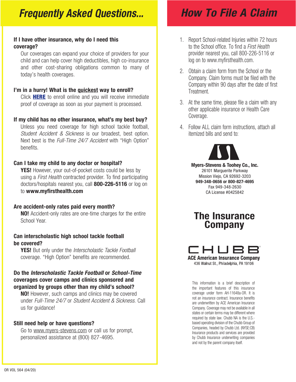## *Frequently Asked Questions...*

### If I have other insurance, why do I need this coverage?

Our coverages can expand your choice of providers for your child and can help cover high deductibles, high co-insurance and other cost-sharing obligations common to many of today's health coverages.

### I'[m in a hurry! What i](https://www.myers-stevens.com/enrollment-page/)s the guickest way to enroll?

Click **HERE** to enroll online and you will receive immediate proof of coverage as soon as your payment is processed.

### If my child has no other insurance, what's my best buy?

Unless you need coverage for high school tackle football, *Student Accident & Sickness* is our broadest, best option. Next best is the *Full-Time 24/7 Accident* with "High Option" benefits.

### Can I take my child to any doctor or hospital?

**YES!** However, your out-of-pocket costs could be less by using a *First Health* contracted provider. To find participating doctors/hospitals nearest you, call **800-226-5116** or log on to www.myfirsthealth.com

### Are accident-only rates paid every month?

NO! Accident-only rates are one-time charges for the entire School Year.

### Can interscholastic high school tackle football be covered?

YES! But only under the *Interscholastic Tackle Football*  coverage. "High Option" benefits are recommended.

### Do the *Interscholastic Tackle Football* or *School-Time* coverages cover camps and clinics sponsored and organized by groups other than my child's school?

**NO!** However, such camps and clinics may be covered under *Full-Time 24/7* or *Student Accident & Sickness*. Call us for guidance!

### Still need help or have questions?

Go to www.myers-stevens.com or call us for prompt, personalized assistance at (800) 827-4695.

## *How To File A Claim*

- 1. Report School-related Injuries within 72 hours to the School office. To find a *First Health* provider nearest you, call 800-226-5116 or log on to www.myfirsthealth.com.
- 2. Obtain a claim form from the School or the Company. Claim forms must be filed with the Company within 90 days after the date of first Treatment.
- 3. At the same time, please file a claim with any other applicable insurance or Health Care Coverage.
- 4. Follow ALL claim form instructions, attach all itemized bills and send to:



Myers-Stevens & Toohey Co., Inc. 26101 Marguerite Parkway Mission Viejo, CA 92692-3203 949-348-0656 or 800-827-4695 Fax 949-348-2630 CA License #0425842

## The Insurance Company



436 Walnut St., Philadelphia, PA 19106

This information is a brief description of the important features of this insurance coverage under form AH-11648a-OR. It is not an insurance contract. Insurance benefits are underwritten by ACE American Insurance Company. Coverage may not be available in all states or certain terms may be different where required by state law. Chubb NA is the U.S. based operating division of the Chubb Group of Companies, headed by Chubb Ltd. (NYSE:CB) Insurance products and services are provided by Chubb Insurance underwriting companies and not by the parent company itself.